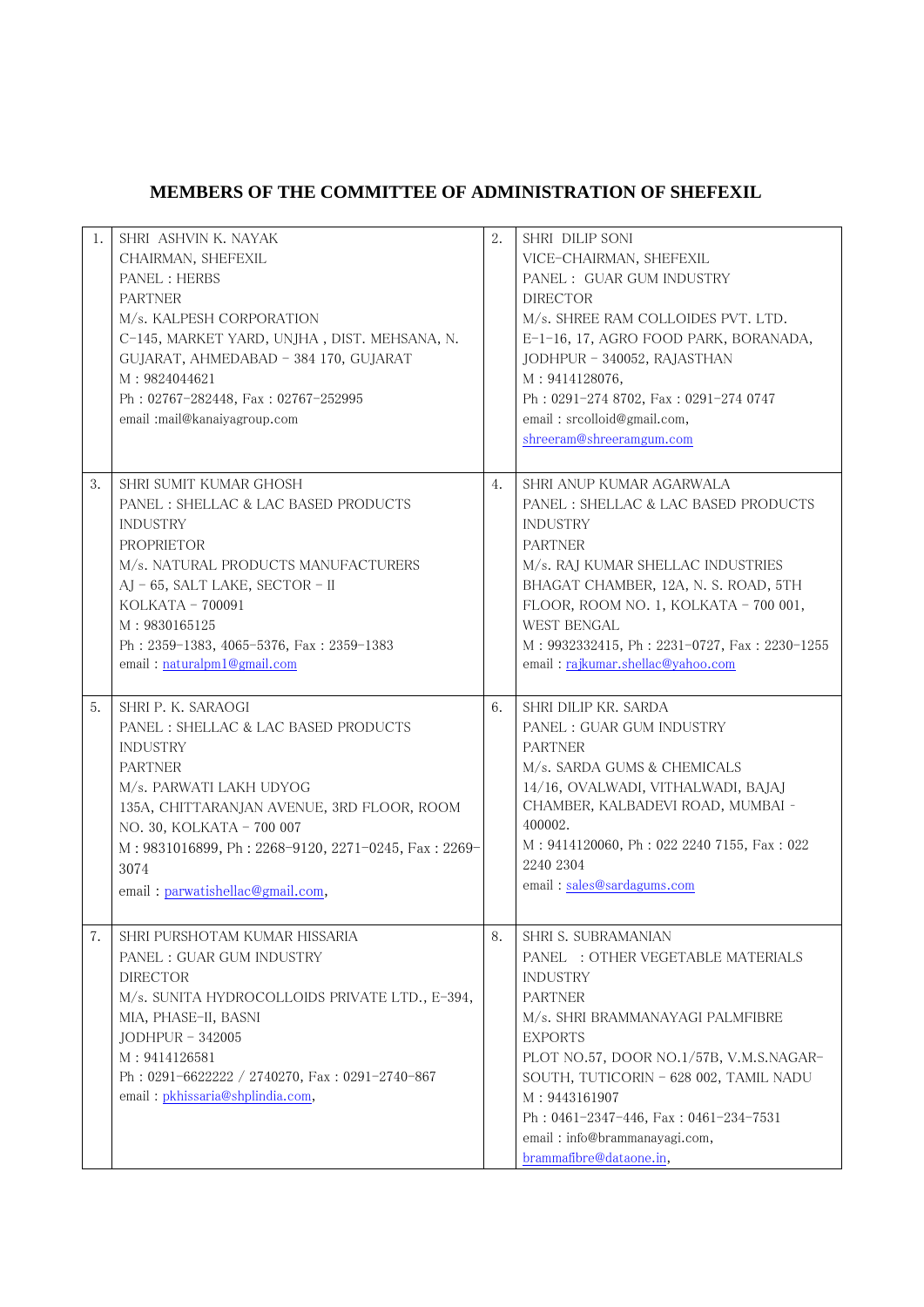| 1. | SHRI ASHVIN K. NAYAK<br>CHAIRMAN, SHEFEXIL<br>PANEL : HERBS<br><b>PARTNER</b><br>M/s. KALPESH CORPORATION<br>C-145, MARKET YARD, UNJHA, DIST. MEHSANA, N.<br>GUJARAT, AHMEDABAD - 384 170, GUJARAT<br>M: 9824044621<br>Ph: 02767-282448, Fax: 02767-252995<br>email :mail@kanaiyagroup.com               | 2. | SHRI DILIP SONI<br>VICE-CHAIRMAN, SHEFEXIL<br>PANEL : GUAR GUM INDUSTRY<br><b>DIRECTOR</b><br>M/s. SHREE RAM COLLOIDES PVT. LTD.<br>E-1-16, 17, AGRO FOOD PARK, BORANADA,<br>JODHPUR - 340052, RAJASTHAN<br>M: 9414128076,<br>Ph: 0291-274 8702, Fax: 0291-274 0747<br>email: srcolloid@gmail.com,<br>shreeram@shreeramgum.com                                 |
|----|----------------------------------------------------------------------------------------------------------------------------------------------------------------------------------------------------------------------------------------------------------------------------------------------------------|----|----------------------------------------------------------------------------------------------------------------------------------------------------------------------------------------------------------------------------------------------------------------------------------------------------------------------------------------------------------------|
| 3. | SHRI SUMIT KUMAR GHOSH<br>PANEL : SHELLAC & LAC BASED PRODUCTS<br><b>INDUSTRY</b><br><b>PROPRIETOR</b><br>M/s. NATURAL PRODUCTS MANUFACTURERS<br>AJ - 65, SALT LAKE, SECTOR - II<br>$KOLKATA - 700091$<br>M: 9830165125<br>Ph: 2359-1383, 4065-5376, Fax: 2359-1383<br>email: naturalpm1@gmail.com       | 4. | SHRI ANUP KUMAR AGARWALA<br>PANEL : SHELLAC & LAC BASED PRODUCTS<br><b>INDUSTRY</b><br><b>PARTNER</b><br>M/s. RAJ KUMAR SHELLAC INDUSTRIES<br>BHAGAT CHAMBER, 12A, N. S. ROAD, 5TH<br>FLOOR, ROOM NO. 1, KOLKATA - 700 001,<br><b>WEST BENGAL</b><br>M: 9932332415, Ph: 2231-0727, Fax: 2230-1255<br>email: rajkumar.shellac@yahoo.com                         |
| 5. | SHRI P. K. SARAOGI<br>PANEL : SHELLAC & LAC BASED PRODUCTS<br><b>INDUSTRY</b><br><b>PARTNER</b><br>M/s. PARWATI LAKH UDYOG<br>135A, CHITTARANJAN AVENUE, 3RD FLOOR, ROOM<br>NO. 30, KOLKATA - 700 007<br>M: 9831016899, Ph: 2268-9120, 2271-0245, Fax: 2269-<br>3074<br>email: parwatishellac@gmail.com, | 6. | SHRI DILIP KR. SARDA<br>PANEL : GUAR GUM INDUSTRY<br><b>PARTNER</b><br>M/s. SARDA GUMS & CHEMICALS<br>14/16, OVALWADI, VITHALWADI, BAJAJ<br>CHAMBER, KALBADEVI ROAD, MUMBAI -<br>400002.<br>M: 9414120060, Ph: 022 2240 7155, Fax: 022<br>2240 2304<br>email: sales@sardagums.com                                                                              |
| 7. | SHRI PURSHOTAM KUMAR HISSARIA<br>PANEL : GUAR GUM INDUSTRY<br><b>DIRECTOR</b><br>M/s. SUNITA HYDROCOLLOIDS PRIVATE LTD., E-394,<br>MIA, PHASE-II, BASNI<br>$JODHPUR - 342005$<br>M: 9414126581<br>Ph: 0291-6622222 / 2740270, Fax: 0291-2740-867<br>email: pkhissaria@shplindia.com,                     | 8. | SHRI S. SUBRAMANIAN<br>PANEL : OTHER VEGETABLE MATERIALS<br><b>INDUSTRY</b><br><b>PARTNER</b><br>M/s. SHRI BRAMMANAYAGI PALMFIBRE<br><b>EXPORTS</b><br>PLOT NO.57, DOOR NO.1/57B, V.M.S.NAGAR-<br>SOUTH, TUTICORIN - 628 002, TAMIL NADU<br>M: 9443161907<br>Ph: 0461-2347-446, Fax: 0461-234-7531<br>email: info@brammanayagi.com,<br>brammafibre@dataone.in, |

## **MEMBERS OF THE COMMITTEE OF ADMINISTRATION OF SHEFEXIL**